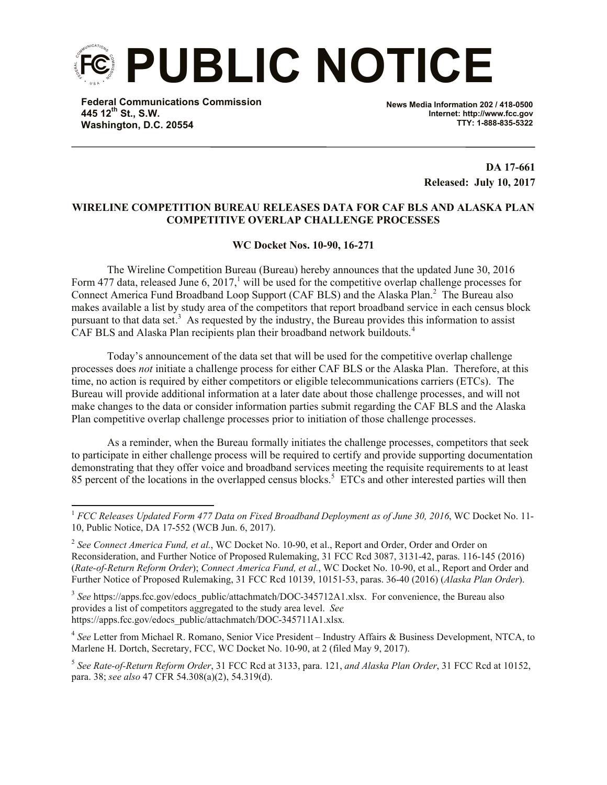

**Federal Communications Commission 445 12th St., S.W. Washington, D.C. 20554**

l

**News Media Information 202 / 418-0500 Internet: http://www.fcc.gov TTY: 1-888-835-5322**

> **DA 17-661 Released: July 10, 2017**

## **WIRELINE COMPETITION BUREAU RELEASES DATA FOR CAF BLS AND ALASKA PLAN COMPETITIVE OVERLAP CHALLENGE PROCESSES**

## **WC Docket Nos. 10-90, 16-271**

The Wireline Competition Bureau (Bureau) hereby announces that the updated June 30, 2016 Form 477 data, released June 6, 2017,<sup>1</sup> will be used for the competitive overlap challenge processes for Connect America Fund Broadband Loop Support (CAF BLS) and the Alaska Plan.<sup>2</sup> The Bureau also makes available a list by study area of the competitors that report broadband service in each census block pursuant to that data set.<sup>3</sup> As requested by the industry, the Bureau provides this information to assist CAF BLS and Alaska Plan recipients plan their broadband network buildouts.<sup>4</sup>

Today's announcement of the data set that will be used for the competitive overlap challenge processes does *not* initiate a challenge process for either CAF BLS or the Alaska Plan. Therefore, at this time, no action is required by either competitors or eligible telecommunications carriers (ETCs). The Bureau will provide additional information at a later date about those challenge processes, and will not make changes to the data or consider information parties submit regarding the CAF BLS and the Alaska Plan competitive overlap challenge processes prior to initiation of those challenge processes.

As a reminder, when the Bureau formally initiates the challenge processes, competitors that seek to participate in either challenge process will be required to certify and provide supporting documentation demonstrating that they offer voice and broadband services meeting the requisite requirements to at least 85 percent of the locations in the overlapped census blocks.<sup>5</sup> ETCs and other interested parties will then

<sup>3</sup> See https://apps.fcc.gov/edocs\_public/attachmatch/DOC-345712A1.xlsx. For convenience, the Bureau also provides a list of competitors aggregated to the study area level. *See*  https://apps.fcc.gov/edocs\_public/attachmatch/DOC-345711A1.xlsx*.* 

<sup>1</sup> *FCC Releases Updated Form 477 Data on Fixed Broadband Deployment as of June 30, 2016*, WC Docket No. 11- 10, Public Notice, DA 17-552 (WCB Jun. 6, 2017).

<sup>&</sup>lt;sup>2</sup> See Connect America Fund, et al., WC Docket No. 10-90, et al., Report and Order, Order and Order on Reconsideration, and Further Notice of Proposed Rulemaking, 31 FCC Rcd 3087, 3131-42, paras. 116-145 (2016) (*Rate-of-Return Reform Order*); *Connect America Fund, et al.*, WC Docket No. 10-90, et al., Report and Order and Further Notice of Proposed Rulemaking, 31 FCC Rcd 10139, 10151-53, paras. 36-40 (2016) (*Alaska Plan Order*).

<sup>4</sup> *See* Letter from Michael R. Romano, Senior Vice President – Industry Affairs & Business Development, NTCA, to Marlene H. Dortch, Secretary, FCC, WC Docket No. 10-90, at 2 (filed May 9, 2017).

<sup>5</sup> *See Rate-of-Return Reform Order*, 31 FCC Rcd at 3133, para. 121, *and Alaska Plan Order*, 31 FCC Rcd at 10152, para. 38; *see also* 47 CFR 54.308(a)(2), 54.319(d).